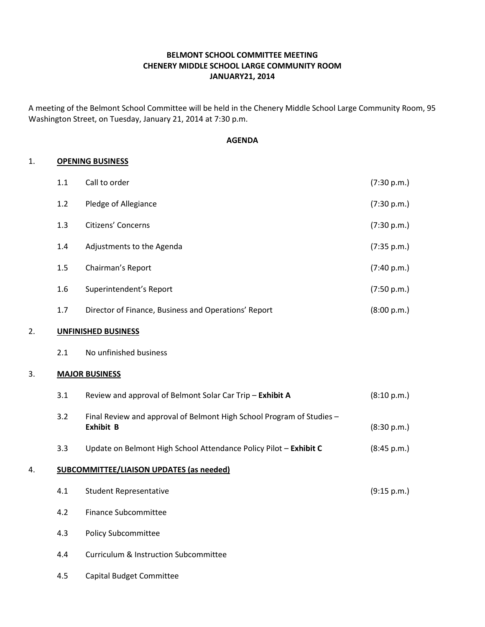## BELMONT SCHOOL COMMITTEE MEETING CHENERY MIDDLE SCHOOL LARGE COMMUNITY ROOM JANUARY21, 2014

A meeting of the Belmont School Committee will be held in the Chenery Middle School Large Community Room, 95 Washington Street, on Tuesday, January 21, 2014 at 7:30 p.m.

#### AGENDA

#### 1. OPENING BUSINESS

|    | 1.1                                             | Call to order                                                                             | (7:30 p.m.) |
|----|-------------------------------------------------|-------------------------------------------------------------------------------------------|-------------|
|    | 1.2                                             | Pledge of Allegiance                                                                      | (7:30 p.m.) |
|    | 1.3                                             | Citizens' Concerns                                                                        | (7:30 p.m.) |
|    | 1.4                                             | Adjustments to the Agenda                                                                 | (7:35 p.m.) |
|    | 1.5                                             | Chairman's Report                                                                         | (7:40 p.m.) |
|    | 1.6                                             | Superintendent's Report                                                                   | (7:50 p.m.) |
|    | 1.7                                             | Director of Finance, Business and Operations' Report                                      | (8:00 p.m.) |
| 2. | <b>UNFINISHED BUSINESS</b>                      |                                                                                           |             |
|    | 2.1                                             | No unfinished business                                                                    |             |
| 3. | <b>MAJOR BUSINESS</b>                           |                                                                                           |             |
|    | 3.1                                             | Review and approval of Belmont Solar Car Trip - Exhibit A                                 | (8:10 p.m.) |
|    | 3.2                                             | Final Review and approval of Belmont High School Program of Studies -<br><b>Exhibit B</b> | (8:30 p.m.) |
|    | 3.3                                             | Update on Belmont High School Attendance Policy Pilot - Exhibit C                         | (8:45 p.m.) |
| 4. | <b>SUBCOMMITTEE/LIAISON UPDATES (as needed)</b> |                                                                                           |             |
|    | 4.1                                             | <b>Student Representative</b>                                                             | (9:15 p.m.) |
|    | 4.2                                             | <b>Finance Subcommittee</b>                                                               |             |
|    | 4.3                                             | <b>Policy Subcommittee</b>                                                                |             |

- 4.4 Curriculum & Instruction Subcommittee
- 4.5 Capital Budget Committee